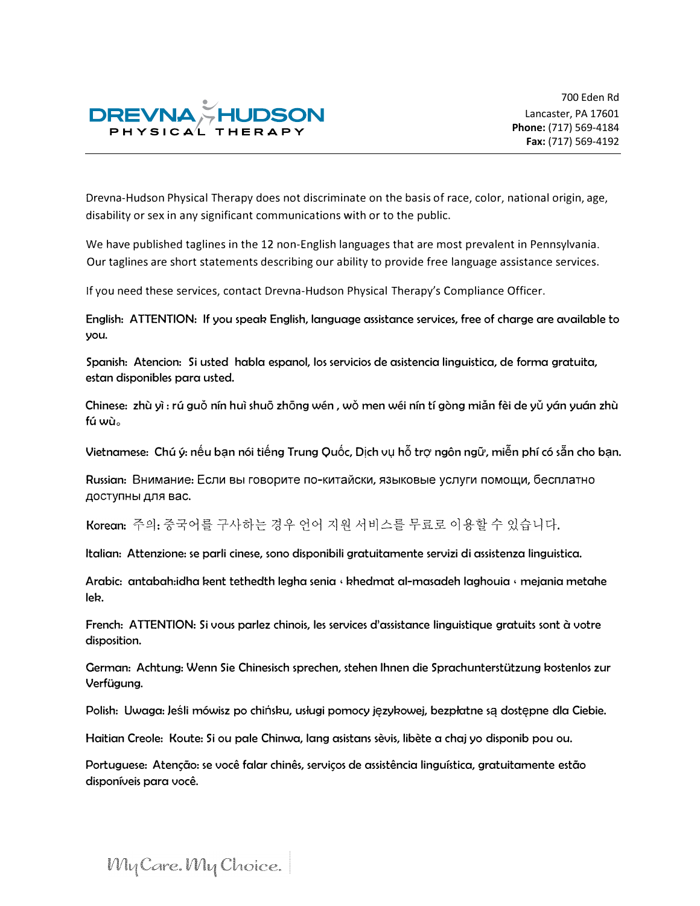

700 Eden Rd Lancaster, PA 17601 **Phone:** (717) 569-4184 **Fax:** (717) 569-4192

Drevna-Hudson Physical Therapy does not discriminate on the basis of race, color, national origin, age, disability or sex in any significant communications with or to the public.

We have published taglines in the 12 non-English languages that are most prevalent in Pennsylvania. Our taglines are short statements describing our ability to provide free language assistance services.

If you need these services, contact Drevna-Hudson Physical Therapy's Compliance Officer.

**English: ATTENTION: If you speah English, language assistance services, free of charge are available to you.** 

**Spanish: Atencion: Si usted habla espanol, los servicios de asistencia linguistica, de forma gratuita, estan disponibles para usted.** 

**Chinese: zhu y1 : ru guo nfn hu1 shu6 zh6ng wen , WO men wei nfn tf gong mian fei de yu yon yuan zhu**  fú wù<sub>o</sub>

Vietnamese: Chú ý: nếu bạn nói tiếng Trung Quốc, Dịch vụ hỗ trợ ngôn ngữ, miễn phí có sẵn cho bạn.

**Russian: Внимание: Если вы говорите по-китайски, языковые услуги помощи, бесплатно AOCTynHbl Anfl sac.** 

Korean: 주의: 중국어를 구사하는 경우 언어 지워 서비스를 무료로 이용할 수 있습니다.

**Italian: Attenzione: se parli cinese, sono disponibili gratuitamente servizi di assistenza linguistica.** 

Arabic: antabah: idha kent tethedth legha senia , khedmat al-masadeh laghouia , mejania metahe **leh.** 

**French: ATTENTION: Si vous parlez chinois, les services d'assistance linguistique gratuits sont** a **votre disposition.** 

**German: Achtung: Wenn Sie Chinesisch sprechen, stehen Ihnen die Sprachunterstutzung hostenlos zur Verfugung.** 

Polish: Uwaga: Jeśli mówisz po chińsku, usługi pomocy językowej, bezpłatne są dostępne dla Ciebie.

Haitian Creole: Koute: Si ou pale Chinwa, lang asistans sèvis, libète a chaj yo disponib pou ou.

Portuguese: Atenção: se você falar chinês, serviços de assistência linguística, gratuitamente estão **disponfveis para voce.** 

### My Care. My Choice.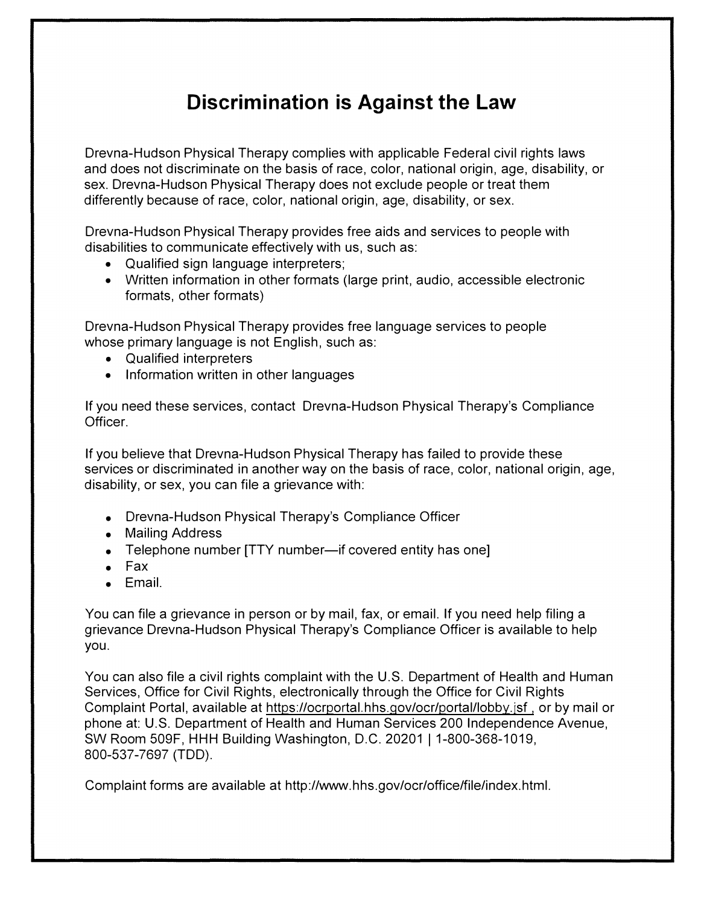## **Discrimination is Against the Law**

Drevna-Hudson Physical Therapy complies with applicable Federal civil rights laws and does not discriminate on the basis of race, color, national origin, age, disability, or sex. Drevna-Hudson Physical Therapy does not exclude people or treat them differently because of race, color, national origin, age, disability, or sex.

Drevna-Hudson Physical Therapy provides free aids and services to people with disabilities to communicate effectively with us, such as:

- Qualified sign language interpreters;
- Written information in other formats (large print, audio, accessible electronic formats, other formats)

Drevna-Hudson Physical Therapy provides free language services to people whose primary language is not English, such as:

- Qualified interpreters
- Information written in other languages

If you need these services, contact Drevna-Hudson Physical Therapy's Compliance Officer.

If you believe that Drevna-Hudson Physical Therapy has failed to provide these services or discriminated in another way on the basis of race, color, national origin, age, disability, or sex, you can file a grievance with:

- Drevna-Hudson Physical Therapy's Compliance Officer
- Mailing Address
- Telephone number [TTY number-if covered entity has one]
- Fax
- Email.

You can file a grievance in person or by mail, fax, or email. If you need help filing a grievance Drevna-Hudson Physical Therapy's Compliance Officer is available to help you.

You can also file a civil rights complaint with the U.S. Department of Health and Human Services, Office for Civil Rights, electronically through the Office for Civil Rights Complaint Portal, available at https://ocrportal.hhs.qov/ocr/portal/lobby.isf , or by mail or phone at: U.S. Department of Health and Human Services 200 Independence Avenue, SW Room 509F, HHH Building Washington, D.C. 20201 | 1-800-368-1019, 800-537-7697 (TDD).

Complaint forms are available at http://www.hhs.gov/ocr/office/file/index.html.